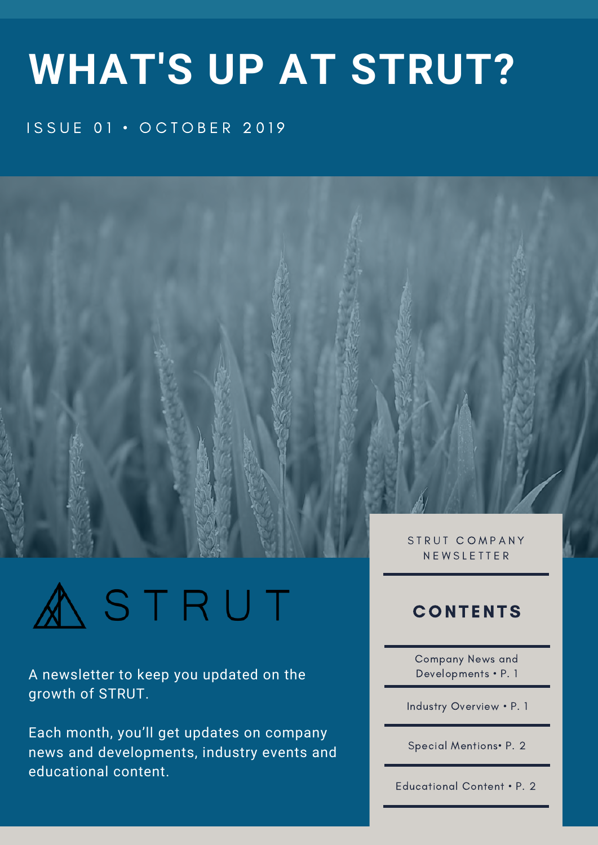# **WHAT'S UP AT STRUT?**

### ISSUE 01 · OCTOBER 2019





A newsletter to keep you updated on the growth of STRUT.

Each month, you'll get updates on company news and developments, industry events and educational content.

N E W S L E T T E R

### **CONTENTS**

Company News and Developments • P. 1

Industry Overview • P. 1

Special Mentions• P. 2

Educational Content • P. 2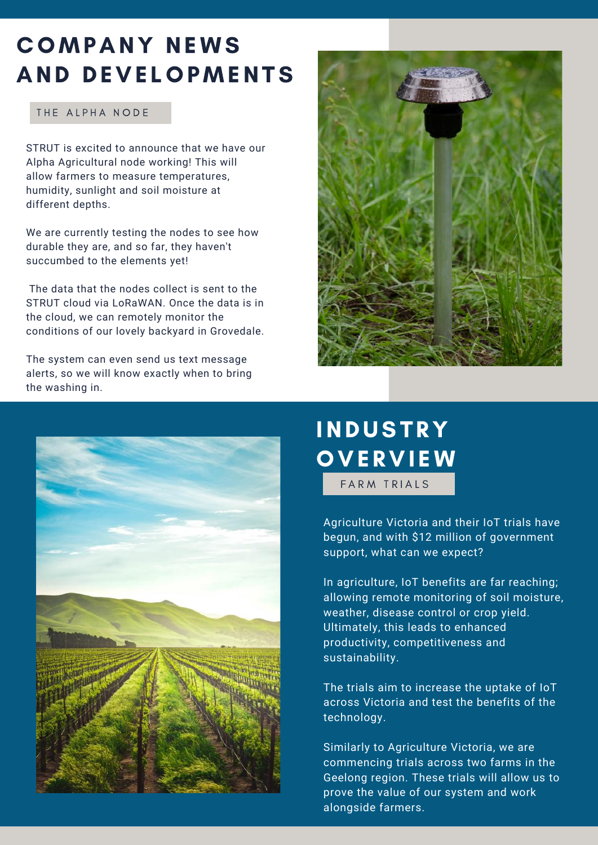### COMPANY NEWS AND DEVE LOPMENTS

#### THE ALPHA NODE

STRUT is excited to announce that we have our Alpha Agricultural node working! This will allow farmers to measure temperatures, humidity, sunlight and soil moisture at different depths.

We are currently testing the nodes to see how durable they are, and so far, they haven't succumbed to the elements yet!

The data that the nodes collect is sent to the STRUT cloud via LoRaWAN. Once the data is in the cloud, we can remotely monitor the conditions of our lovely backyard in Grovedale.

The system can even send us text message alerts, so we will know exactly when to bring the washing in.





# **INDUSTRY OVERVIEW**

FARM TRIALS

Agriculture Victoria and their IoT trials have begun, and with \$12 million of government support, what can we expect?

In agriculture, IoT benefits are far reaching; allowing remote monitoring of soil moisture, weather, disease control or crop yield. Ultimately, this leads to enhanced productivity, competitiveness and sustainability.

The trials aim to increase the uptake of IoT across Victoria and test the benefits of the technology.

Similarly to Agriculture Victoria, we are commencing trials across two farms in the Geelong region. These trials will allow us to prove the value of our system and work alongside farmers.